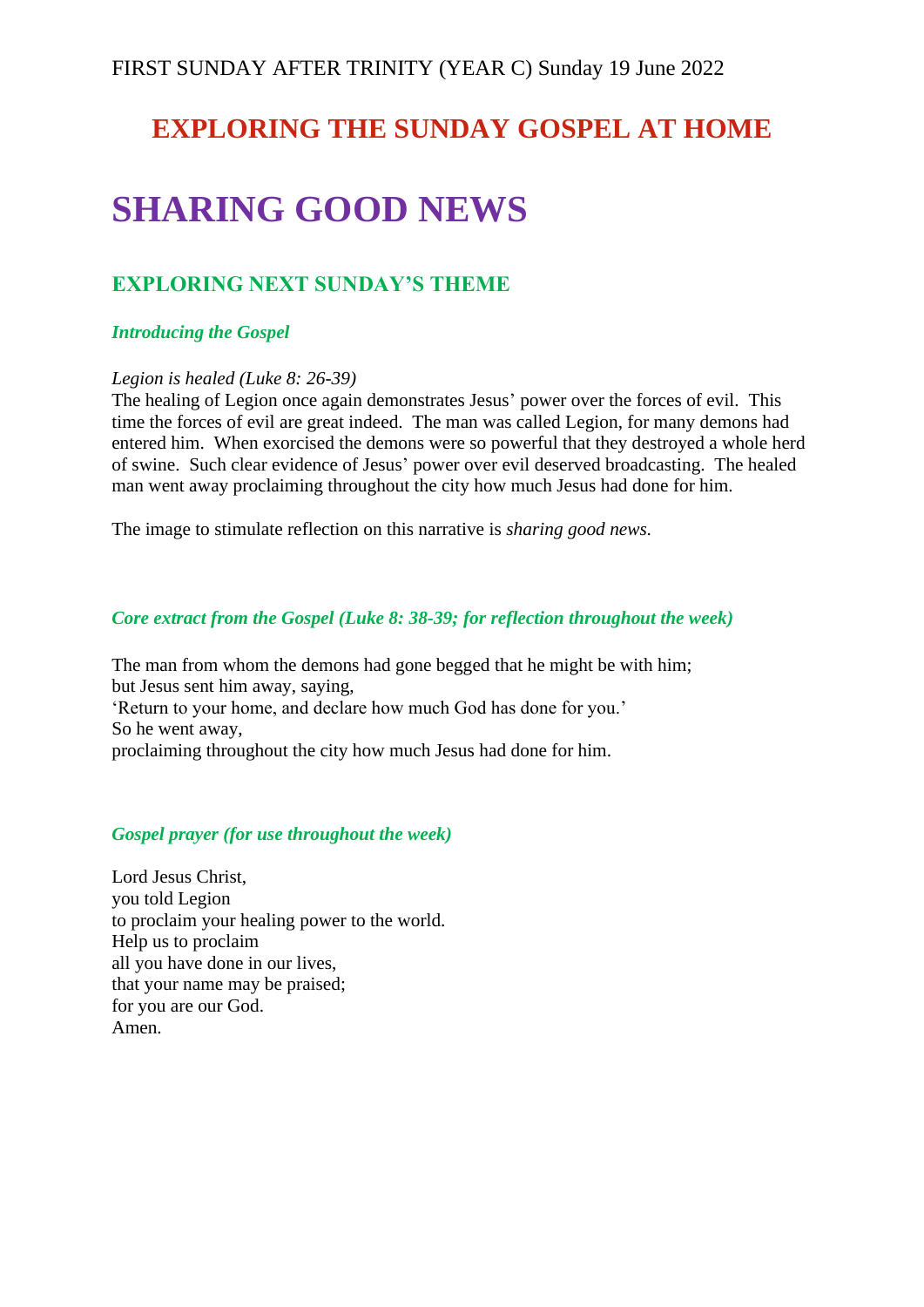## **EXPLORING THE SUNDAY GOSPEL AT HOME**

# **SHARING GOOD NEWS**

## **EXPLORING NEXT SUNDAY'S THEME**

## *Introducing the Gospel*

### *Legion is healed (Luke 8: 26-39)*

The healing of Legion once again demonstrates Jesus' power over the forces of evil. This time the forces of evil are great indeed. The man was called Legion, for many demons had entered him. When exorcised the demons were so powerful that they destroyed a whole herd of swine. Such clear evidence of Jesus' power over evil deserved broadcasting. The healed man went away proclaiming throughout the city how much Jesus had done for him.

The image to stimulate reflection on this narrative is *sharing good news.*

### *Core extract from the Gospel (Luke 8: 38-39; for reflection throughout the week)*

The man from whom the demons had gone begged that he might be with him; but Jesus sent him away, saying, 'Return to your home, and declare how much God has done for you.' So he went away, proclaiming throughout the city how much Jesus had done for him.

### *Gospel prayer (for use throughout the week)*

Lord Jesus Christ, you told Legion to proclaim your healing power to the world. Help us to proclaim all you have done in our lives, that your name may be praised; for you are our God. Amen.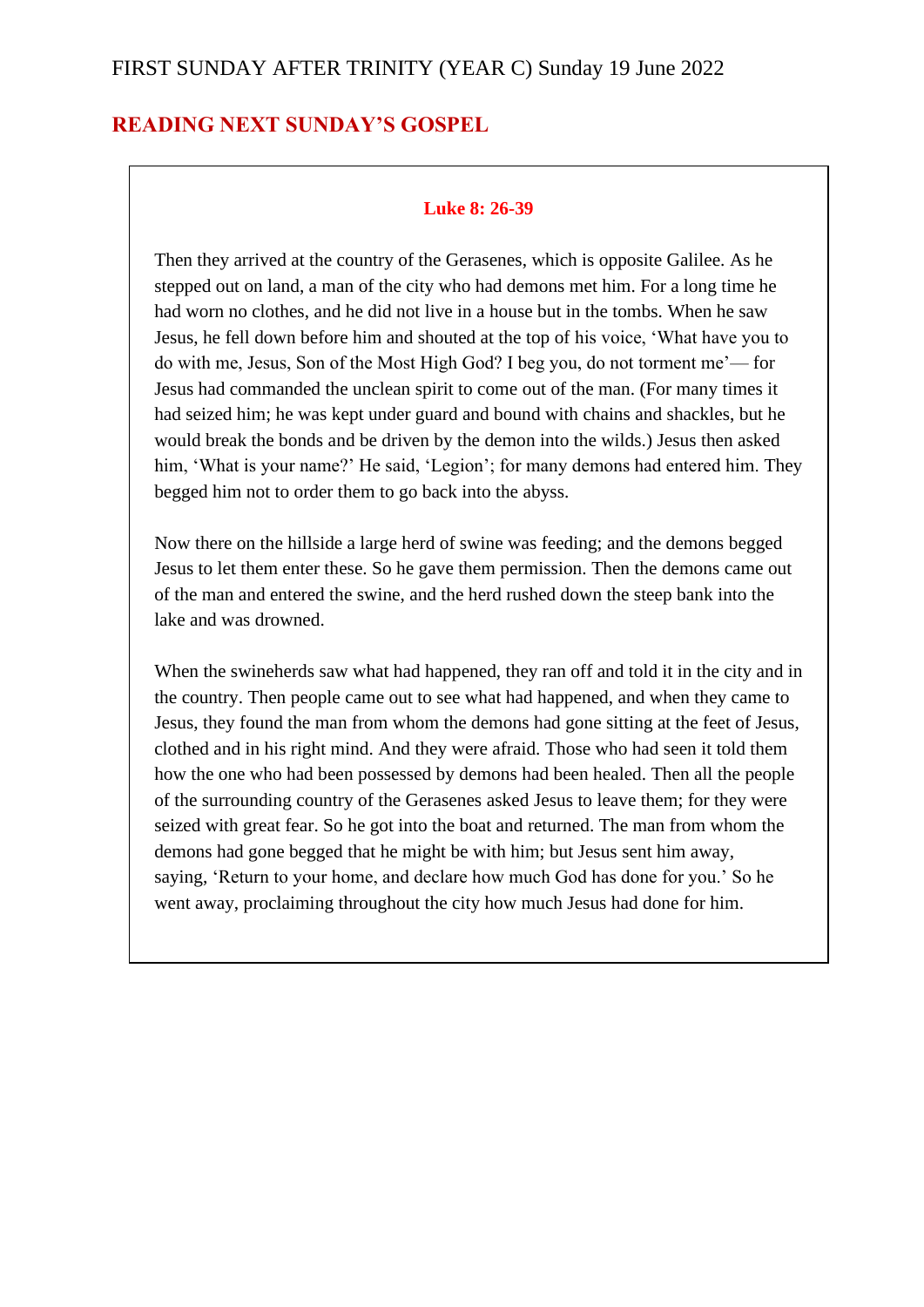## **READING NEXT SUNDAY'S GOSPEL**

## **Luke 8: 26-39**

Then they arrived at the country of the Gerasenes, which is opposite Galilee. As he stepped out on land, a man of the city who had demons met him. For a long time he had worn no clothes, and he did not live in a house but in the tombs. When he saw Jesus, he fell down before him and shouted at the top of his voice, 'What have you to do with me, Jesus, Son of the Most High God? I beg you, do not torment me'— for Jesus had commanded the unclean spirit to come out of the man. (For many times it had seized him; he was kept under guard and bound with chains and shackles, but he would break the bonds and be driven by the demon into the wilds.) Jesus then asked him, 'What is your name?' He said, 'Legion'; for many demons had entered him. They begged him not to order them to go back into the abyss.

Now there on the hillside a large herd of swine was feeding; and the demons begged Jesus to let them enter these. So he gave them permission. Then the demons came out of the man and entered the swine, and the herd rushed down the steep bank into the lake and was drowned.

When the swineherds saw what had happened, they ran off and told it in the city and in the country. Then people came out to see what had happened, and when they came to Jesus, they found the man from whom the demons had gone sitting at the feet of Jesus, clothed and in his right mind. And they were afraid. Those who had seen it told them how the one who had been possessed by demons had been healed. Then all the people of the surrounding country of the Gerasenes asked Jesus to leave them; for they were seized with great fear. So he got into the boat and returned. The man from whom the demons had gone begged that he might be with him; but Jesus sent him away, saying, 'Return to your home, and declare how much God has done for you.' So he went away, proclaiming throughout the city how much Jesus had done for him.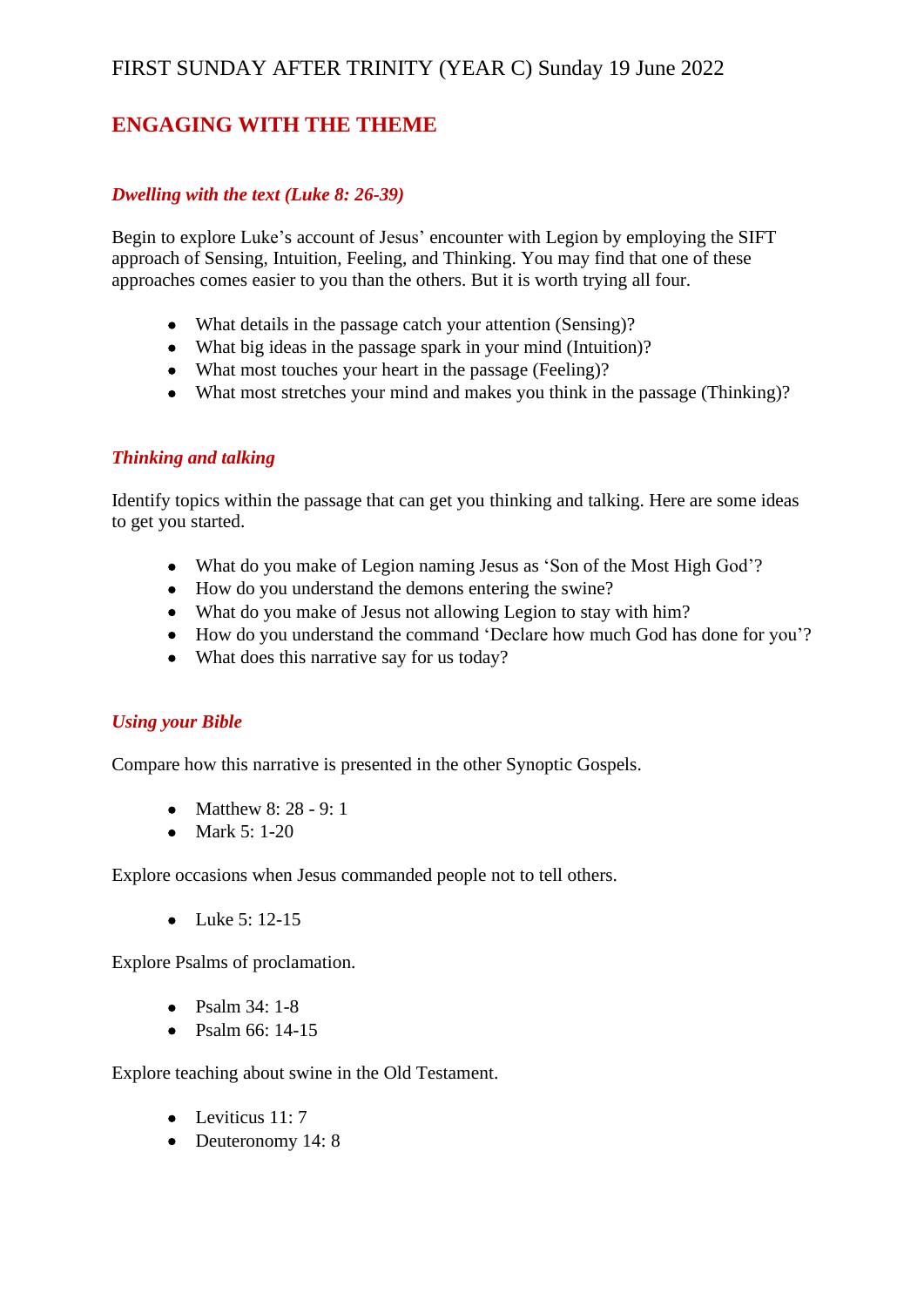## FIRST SUNDAY AFTER TRINITY (YEAR C) Sunday 19 June 2022

## **ENGAGING WITH THE THEME**

## *Dwelling with the text (Luke 8: 26-39)*

Begin to explore Luke's account of Jesus' encounter with Legion by employing the SIFT approach of Sensing, Intuition, Feeling, and Thinking. You may find that one of these approaches comes easier to you than the others. But it is worth trying all four.

- What details in the passage catch your attention (Sensing)?
- What big ideas in the passage spark in your mind (Intuition)?
- What most touches your heart in the passage (Feeling)?
- What most stretches your mind and makes you think in the passage (Thinking)?

### *Thinking and talking*

Identify topics within the passage that can get you thinking and talking. Here are some ideas to get you started.

- What do you make of Legion naming Jesus as 'Son of the Most High God'?
- How do you understand the demons entering the swine?
- What do you make of Jesus not allowing Legion to stay with him?
- How do you understand the command 'Declare how much God has done for you'?
- What does this narrative say for us today?

### *Using your Bible*

Compare how this narrative is presented in the other Synoptic Gospels.

- Matthew 8: 28 9: 1
- Mark  $5: 1-20$

Explore occasions when Jesus commanded people not to tell others.

• Luke 5: 12-15

Explore Psalms of proclamation.

- Psalm 34: 1-8
- Psalm 66: 14-15

Explore teaching about swine in the Old Testament.

- Leviticus 11:7
- Deuteronomy 14: 8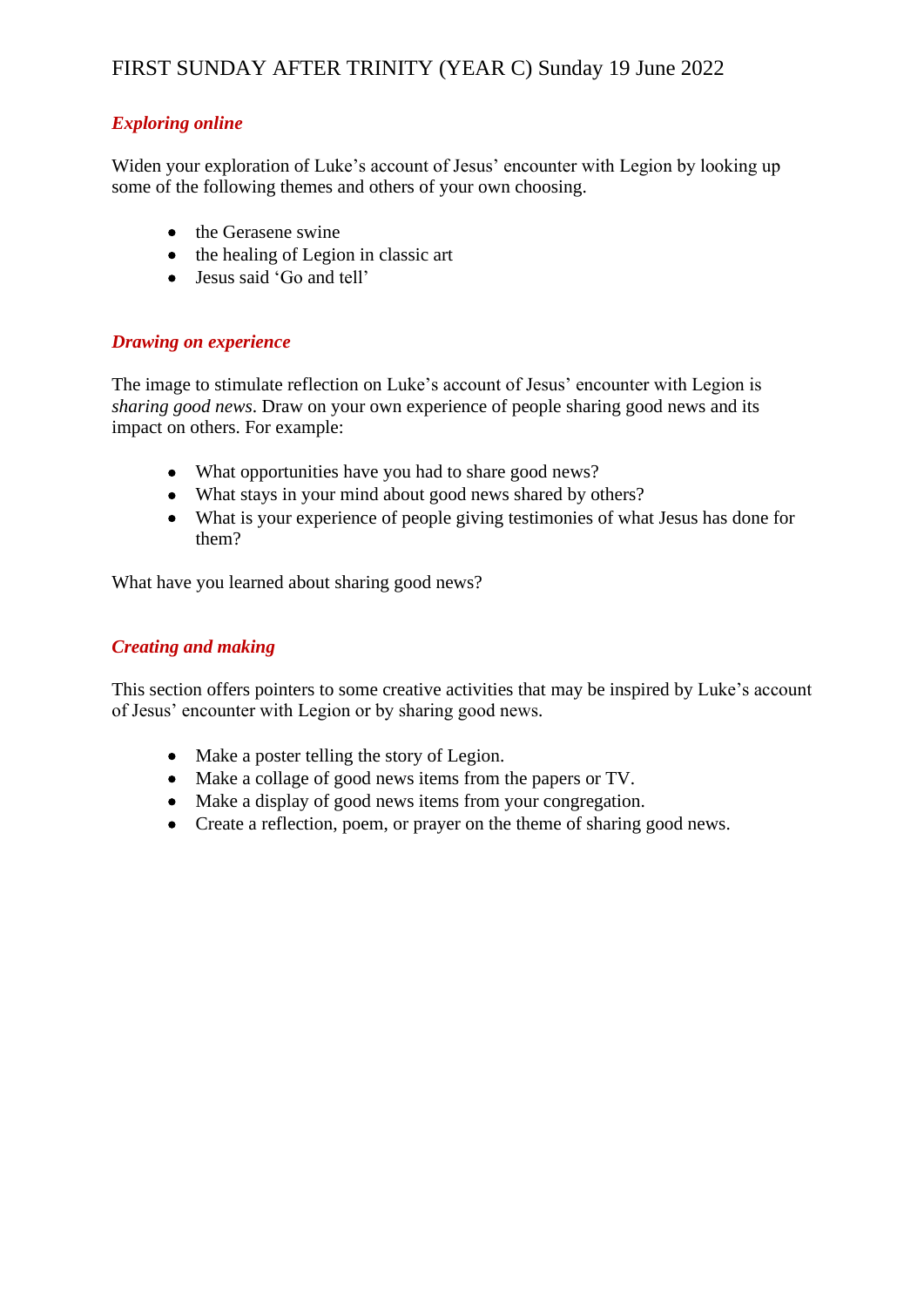## FIRST SUNDAY AFTER TRINITY (YEAR C) Sunday 19 June 2022

## *Exploring online*

Widen your exploration of Luke's account of Jesus' encounter with Legion by looking up some of the following themes and others of your own choosing.

- the Gerasene swine
- the healing of Legion in classic art
- Jesus said 'Go and tell'

### *Drawing on experience*

The image to stimulate reflection on Luke's account of Jesus' encounter with Legion is *sharing good news*. Draw on your own experience of people sharing good news and its impact on others. For example:

- What opportunities have you had to share good news?
- What stays in your mind about good news shared by others?
- What is your experience of people giving testimonies of what Jesus has done for them?

What have you learned about sharing good news?

### *Creating and making*

This section offers pointers to some creative activities that may be inspired by Luke's account of Jesus' encounter with Legion or by sharing good news.

- Make a poster telling the story of Legion.
- Make a collage of good news items from the papers or TV.
- Make a display of good news items from your congregation.
- Create a reflection, poem, or prayer on the theme of sharing good news.